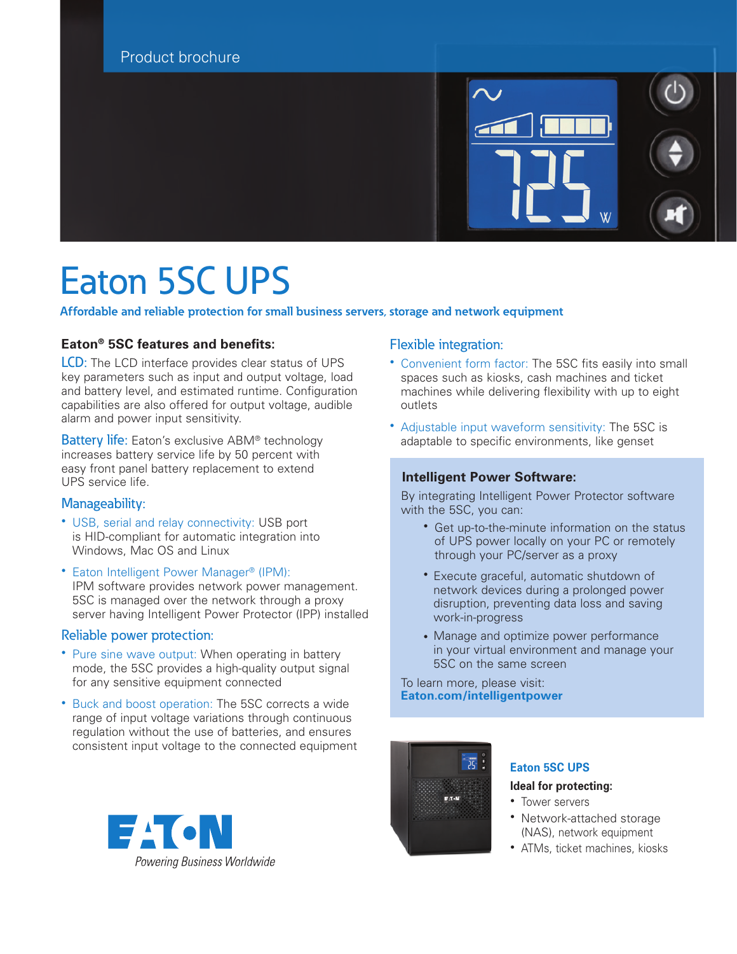

# Eaton 5SC UPS

**Affordable and reliable protection for small business servers, storage and network equipment**

### **Eaton® 5SC features and benefits:**

LCD: The LCD interface provides clear status of UPS key parameters such as input and output voltage, load and battery level, and estimated runtime. Configuration capabilities are also offered for output voltage, audible alarm and power input sensitivity.

Battery life: Eaton's exclusive ABM<sup>®</sup> technology increases battery service life by 50 percent with easy front panel battery replacement to extend UPS service life.

#### Manageability:

- USB, serial and relay connectivity: USB port is HID-compliant for automatic integration into Windows, Mac OS and Linux
- Eaton Intelligent Power Manager® (IPM): IPM software provides network power management. 5SC is managed over the network through a proxy server having Intelligent Power Protector (IPP) installed

#### Reliable power protection:

- Pure sine wave output: When operating in battery mode, the 5SC provides a high-quality output signal for any sensitive equipment connected
- Buck and boost operation: The 5SC corrects a wide range of input voltage variations through continuous regulation without the use of batteries, and ensures consistent input voltage to the connected equipment



#### Flexible integration:

- Convenient form factor: The 5SC fits easily into small spaces such as kiosks, cash machines and ticket machines while delivering flexibility with up to eight outlets
- Adjustable input waveform sensitivity: The 5SC is adaptable to specific environments, like genset

#### **Intelligent Power Software:**

 By integrating Intelligent Power Protector software with the 5SC, you can:

- Get up-to-the-minute information on the status of UPS power locally on your PC or remotely through your PC/server as a proxy
- Execute graceful, automatic shutdown of network devices during a prolonged power disruption, preventing data loss and saving work-in-progress
- Manage and optimize power performance in your virtual environment and manage your 5SC on the same screen

 To learn more, please visit: **[Eaton.com/intelligentpower](http://Eaton.com/intelligentpower)**



## **Eaton 5SC UPS**

#### **Ideal for protecting:**

- Tower servers
- Network-attached storage (NAS), network equipment
- ATMs, ticket machines, kiosks